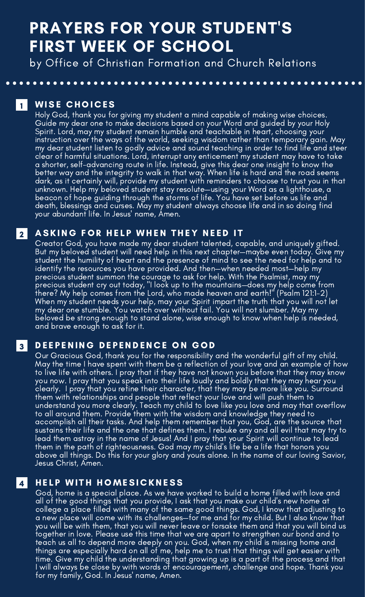# PRAYERS FOR YOUR STUDENT'S FIRST WEEK OF SCHOOL

by Office of Christian Formation and Church Relations

**I** WISE CHOICES

2

3

4

Holy God, thank you for giving my student a mind capable of making wise choices.<br>Guide my dear one to make decisions based on your Word and guided by your Holy Spirit. Lord, may my student remain humble and teachable in heart, choosing your instruction over the ways of the world, seeking wisdom rather than temporary gain. May<br>my dear student listen to godly advice and sound teaching in order to find life and steer<br>clear of harmful situations. Lord, interrupt beacon of hope guiding through the storms of life. You have set before us life and death, blessings and curses. May my student always choose life and in so doing find your abundant life. In Jesus' name, Amen.

### ASKING FOR HELP WHEN THEY NEED IT

Creator God, you have made my dear student talented, capable, and uniquely gifted.<br><u>But my beloved studen</u>t will need help in this next chapter—maybe even today. Give my student the humility of heart and the presence of mind to see the need for help and to identify the resources you have provided. And then—when needed most—help my precious student summon the courage to ask for help. With the Psalmist, may my precious student cry out today, "I look up to the mountains—does my help come from there? My help comes from the Lord, who made heaven and earth!" (Psalm 121:1-2) my dear one stumble. You watch over without fail. You will not slumber. May my<br>beloved be strong enough to stand alone, wise enough to know when help is needed,<br>and brave enough to ask for it.

### DEEPENING DEPENDENCE ON GOD

Our Gracious God, thank you for the responsibility and the wonderful gift of my child.<br>May the time I have spent with them be a reflection of your love and an example of how to live life with others. I pray that if they have not known you before that they may know<br>you now. I pray that you speak into their life loudly and boldly that they may hear you clearly. I pray that you refine their character, that they may be more like you. Surround them with relationships and people that reflect your love and will push them to understand you more clearly. Teach my child to love like you love and may that overflow to all around them. Provide them with the wisdom and knowledge they need to<br>accomplish all their tasks. And help them remember that you, God, are the source that<br>sustains their life and the one that defines them. I rebuke lead them astray in the name of Jesus! And I pray that your Spirit will continue to lead above all things. Do this for your glory and yours alone. In the name of our loving Savior,<br>Jesus Christ, Amen.

## **HELP WITH HOMESICKNESS**

God, home is a special place. As we have worked to build a home filled with love and college a place filled with many of the same good things. God, I know that adjusting to<br>a new place will come with its challenges—for me and for my child. But I also know that you will be with them, that you will never leave or forsake them and that you will bind us together in love. Please use this time that we are apart to strengthen our bond and to teach us all to depend more deeply on you. God, when my child is missing home and things are especially hard on all of me, help me to trust that things will get easier with time. Give my child the understanding that growing up is a part of the process and that I will always be close by with words of encouragement, challenge and hope. Thank you for my family, God. In Jesus' name, Amen.